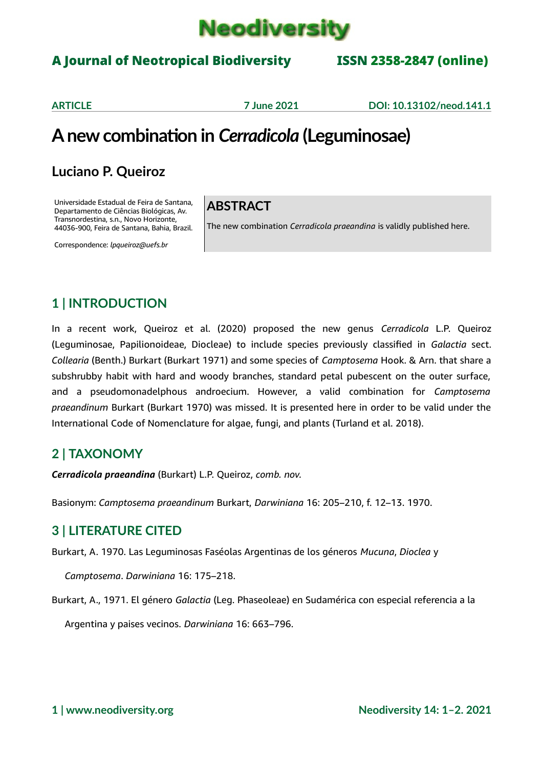

### A Journal of Neotropical Biodiversity ISSN 2358-2847 (online)

**ARTICLE 7 June 2021 DOI: 10.13102/neod.141.1**

## **A new combination in** *Cerradicola* **(Leguminosae)**

### **Luciano P. Queiroz**

Universidade Estadual de Feira de Santana, Departamento de Ciências Biológicas, Av. Transnordestina, s.n., Novo Horizonte, 44036-900, Feira de Santana, Bahia, Brazil.

Correspondence: *lpqueiroz@uefs.br*

#### **ABSTRACT**

The new combination *Cerradicola praeandina* is validly published here.

#### **1 | INTRODUCTION**

In a recent work, Queiroz et al. (2020) proposed the new genus *Cerradicola* L.P. Queiroz (Leguminosae, Papilionoideae, Diocleae) to include species previously classified in *Galactia* sect. *Collearia* (Benth.) Burkart (Burkart 1971) and some species of *Camptosema* Hook. & Arn. that share a subshrubby habit with hard and woody branches, standard petal pubescent on the outer surface, and a pseudomonadelphous androecium. However, a valid combination for *Camptosema praeandinum* Burkart (Burkart 1970) was missed. It is presented here in order to be valid under the International Code of Nomenclature for algae, fungi, and plants (Turland et al. 2018).

#### **2 | TAXONOMY**

*Cerradicola praeandina* (Burkart) L.P. Queiroz, *comb. nov.*

Basionym: *Camptosema praeandinum* Burkart, *Darwiniana* 16: 205–210, f. 12–13. 1970.

#### **3 | LITERATURE CITED**

Burkart, A. 1970. Las Leguminosas Faséolas Argentinas de los géneros *Mucuna*, *Dioclea* y

*Camptosema*. *Darwiniana* 16: 175–218.

Burkart, A., 1971. El género *Galactia* (Leg. Phaseoleae) en Sudamérica con especial referencia a la

Argentina y paises vecinos. *Darwiniana* 16: 663–796.